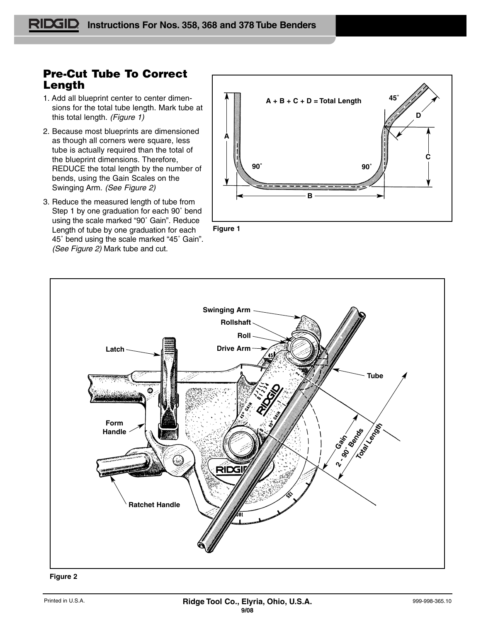## **Pre-Cut Tube To Correct Length**

- 1. Add all blueprint center to center dimensions for the total tube length. Mark tube at this total length. (Figure 1)
- 2. Because most blueprints are dimensioned as though all corners were square, less tube is actually required than the total of the blueprint dimensions. Therefore, REDUCE the total length by the number of bends, using the Gain Scales on the Swinging Arm. (See Figure 2)
- 3. Reduce the measured length of tube from Step 1 by one graduation for each 90˚ bend using the scale marked "90˚ Gain". Reduce Length of tube by one graduation for each 45˚ bend using the scale marked "45˚ Gain". (See Figure 2) Mark tube and cut.